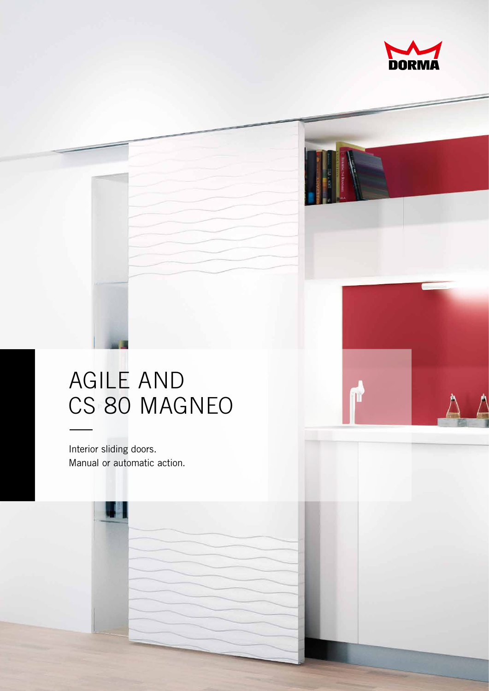

## **AGILE AND** CS 80 MAGNEO

Interior sliding doors. Manual or automatic action.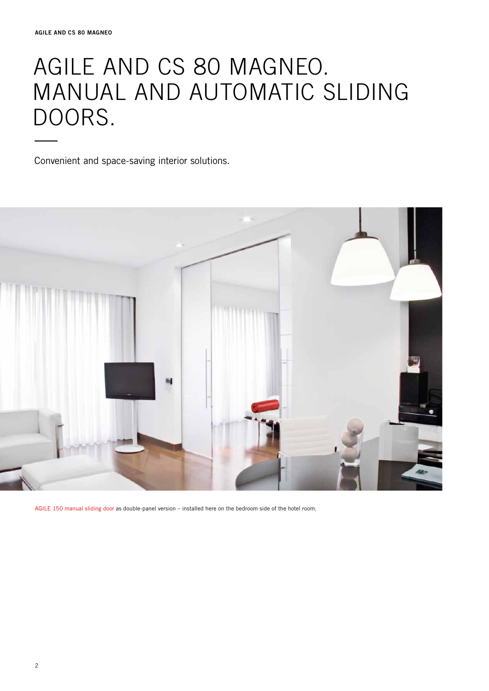## AGILE AND CS 80 MAGNEO. Manual and Automatic sliding DOORS.

Convenient and space-saving interior solutions.



AGILE 150 manual sliding door as double-panel version – installed here on the bedroom side of the hotel room.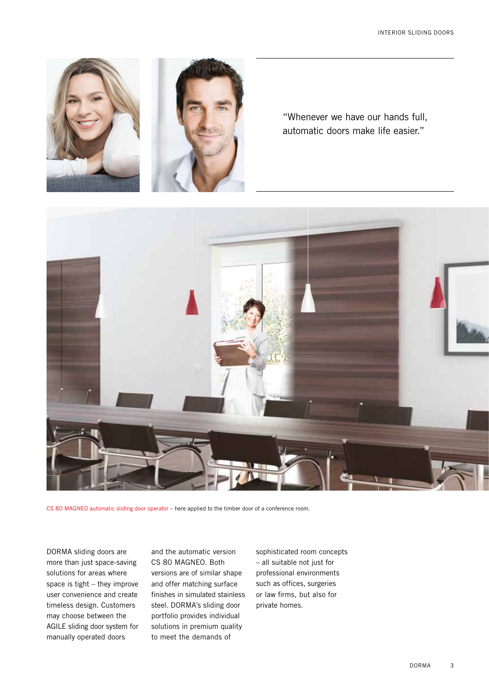

"Whenever we have our hands full, automatic doors make life easier."



CS 80 MAGNEO automatic sliding door operator – here applied to the timber door of a conference room.

DORMA sliding doors are more than just space-saving solutions for areas where space is tight – they improve user convenience and create timeless design. Customers may choose between the AGILE sliding door system for manually operated doors

and the automatic version CS 80 MAGNEO. Both versions are of similar shape and offer matching surface finishes in simulated stainless steel. DORMA's sliding door portfolio provides individual solutions in premium quality to meet the demands of

sophisticated room concepts – all suitable not just for professional environments such as offices, surgeries or law firms, but also for private homes.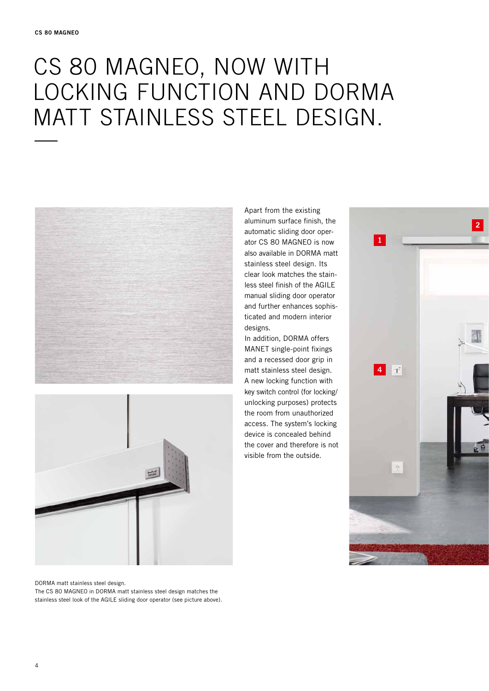## cS 80 MAGNEO, now with locking function and DORMA MATT STAINLESS STEEL DESIGN.





DORMA matt stainless steel design. The CS 80 MAGNEO in DORMA matt stainless steel design matches the stainless steel look of the AGILE sliding door operator (see picture above). Apart from the existing aluminum surface finish, the automatic sliding door operator CS 80 MAGNEO is now also available in DORMA matt stainless steel design. Its clear look matches the stainless steel finish of the AGILE manual sliding door operator and further enhances sophisticated and modern interior designs.

In addition, DORMA offers MANET single-point fixings and a recessed door grip in matt stainless steel design. A new locking function with key switch control (for locking/ unlocking purposes) protects the room from unauthorized access. The system's locking device is concealed behind the cover and therefore is not visible from the outside.

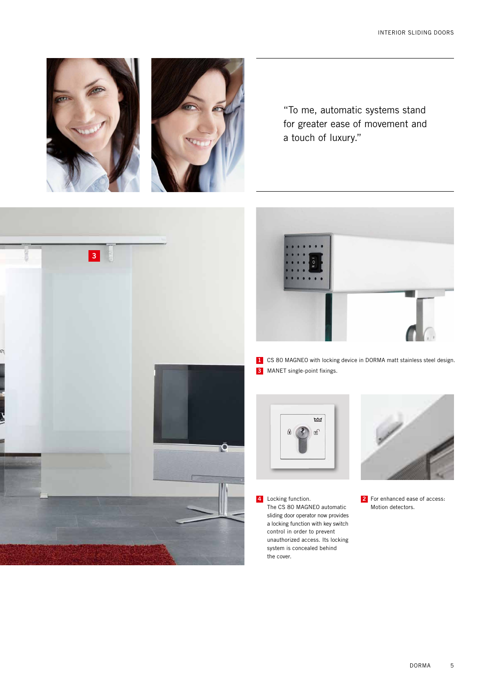









**1** CS 80 MAGNEO with locking device in DORMA matt stainless steel design. **3** MANET single-point fixings.



**4** Locking function. The CS 80 MAGNEO automatic sliding door operator now provides a locking function with key switch control in order to prevent unauthorized access. Its locking system is concealed behind the cover.



**2** For enhanced ease of access: Motion detectors.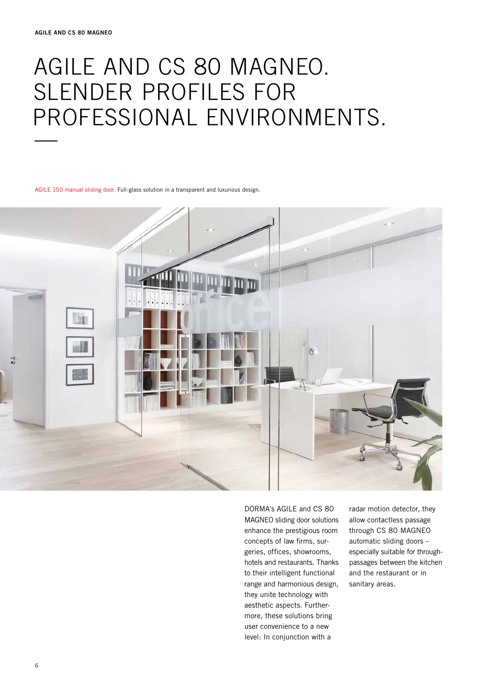## AGILE and CS 80 MAGNEO. Slender profiles for PROFESSIONAL ENVIRONMENTS.

AGILE 150 manual sliding door. Full-glass solution in a transparent and luxurious design.



DORMA's AGILE and CS 80 MAGNEO sliding door solutions enhance the prestigious room concepts of law firms, surgeries, offices, showrooms, hotels and restaurants. Thanks to their intelligent functional range and harmonious design, they unite technology with aesthetic aspects. Furthermore, these solutions bring user convenience to a new level: In conjunction with a

radar motion detector, they allow contactless passage through CS 80 MAGNEO automatic sliding doors – especially suitable for throughpassages between the kitchen and the restaurant or in sanitary areas.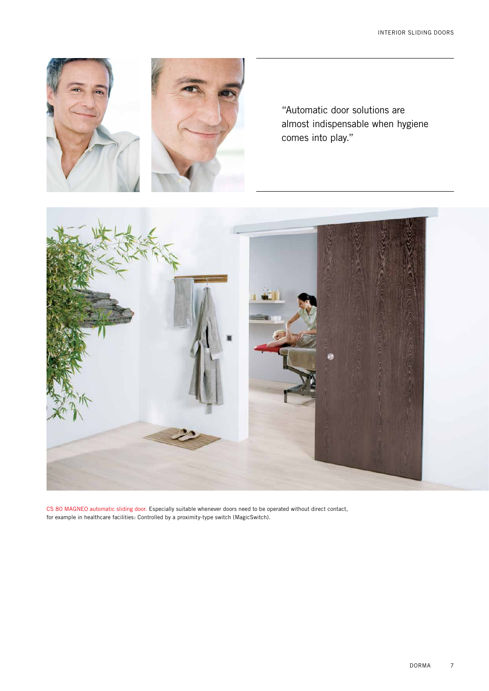





CS 80 MAGNEO automatic sliding door. Especially suitable whenever doors need to be operated without direct contact, for example in healthcare facilities: Controlled by a proximity-type switch (MagicSwitch).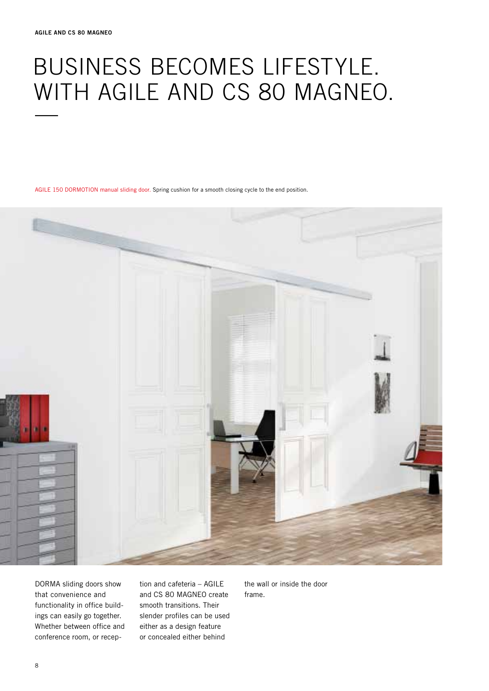# Business becomes lifestyle. WITH AGILE AND CS 80 MAGNEO.

AGILE 150 DORMOTION manual sliding door. Spring cushion for a smooth closing cycle to the end position.



DORMA sliding doors show that convenience and functionality in office buildings can easily go together. Whether between office and conference room, or reception and cafeteria – AGILE and CS 80 MAGNEO create smooth transitions. Their slender profiles can be used either as a design feature or concealed either behind

the wall or inside the door frame.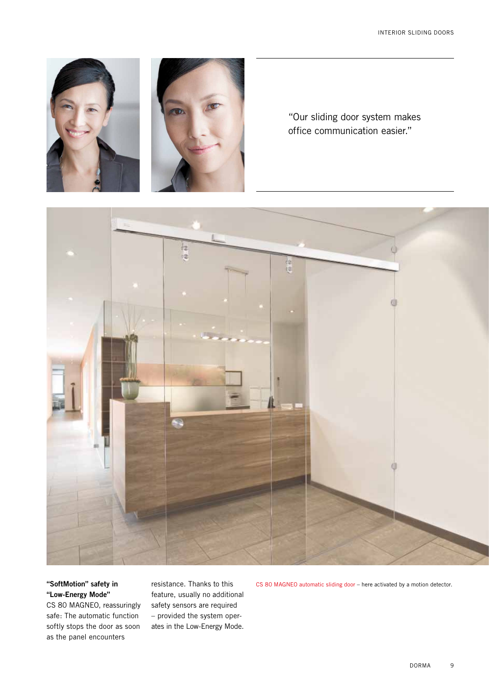

"Our sliding door system makes office communication easier."



#### **"SoftMotion" safety in "Low-Energy Mode"**

CS 80 MAGNEO, reassuringly safe: The automatic function softly stops the door as soon as the panel encounters

resistance. Thanks to this feature, usually no additional safety sensors are required – provided the system operates in the Low-Energy Mode.

CS 80 MAGNEO automatic sliding door – here activated by a motion detector.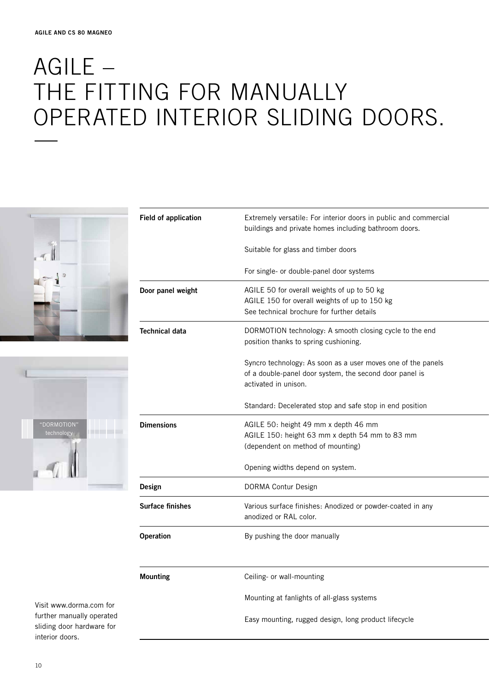## AGILE – THE FITTING FOR MANUALLY OPERATED INTERIOR SLIDING DOORS.





| <b>Field of application</b> | Extremely versatile: For interior doors in public and commercial<br>buildings and private homes including bathroom doors.                       |
|-----------------------------|-------------------------------------------------------------------------------------------------------------------------------------------------|
|                             | Suitable for glass and timber doors                                                                                                             |
|                             | For single- or double-panel door systems                                                                                                        |
| Door panel weight           | AGILE 50 for overall weights of up to 50 kg<br>AGILE 150 for overall weights of up to 150 kg<br>See technical brochure for further details      |
| <b>Technical data</b>       | DORMOTION technology: A smooth closing cycle to the end<br>position thanks to spring cushioning.                                                |
|                             | Syncro technology: As soon as a user moves one of the panels<br>of a double-panel door system, the second door panel is<br>activated in unison. |
|                             | Standard: Decelerated stop and safe stop in end position                                                                                        |
| <b>Dimensions</b>           | AGILE 50: height 49 mm x depth 46 mm<br>AGILE 150: height 63 mm x depth 54 mm to 83 mm<br>(dependent on method of mounting)                     |
|                             | Opening widths depend on system.                                                                                                                |
| Design                      | DORMA Contur Design                                                                                                                             |
| <b>Surface finishes</b>     | Various surface finishes: Anodized or powder-coated in any<br>anodized or RAL color.                                                            |
| Operation                   | By pushing the door manually                                                                                                                    |
|                             |                                                                                                                                                 |
| <b>Mounting</b>             | Ceiling- or wall-mounting                                                                                                                       |
|                             | Mounting at fanlights of all-glass systems                                                                                                      |
|                             | Easy mounting, rugged design, long product lifecycle                                                                                            |
|                             |                                                                                                                                                 |

Visit www.dorma.com for further manually operated sliding door hardware for interior doors.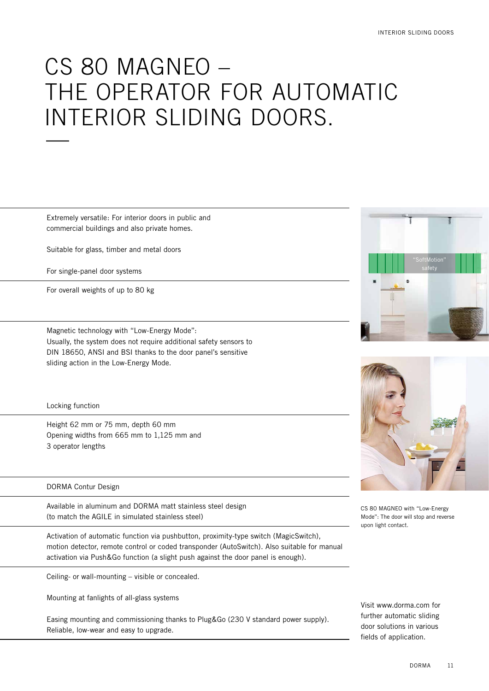## CS 80 MAGNEO – the operator for automatic INTERIOR SLIDING DOORS.

Extremely versatile: For interior doors in public and commercial buildings and also private homes.

Suitable for glass, timber and metal doors

For single-panel door systems

For overall weights of up to 80 kg

Magnetic technology with "Low-Energy Mode": Usually, the system does not require additional safety sensors to DIN 18650, ANSI and BSI thanks to the door panel's sensitive sliding action in the Low-Energy Mode.

Locking function

Height 62 mm or 75 mm, depth 60 mm Opening widths from 665 mm to 1,125 mm and 3 operator lengths

#### **DORMA Contur Design**

Available in aluminum and DORMA matt stainless steel design (to match the AGILE in simulated stainless steel)

Activation of automatic function via pushbutton, proximity-type switch (MagicSwitch), motion detector, remote control or coded transponder (AutoSwitch). Also suitable for manual activation via Push&Go function (a slight push against the door panel is enough).

Ceiling- or wall-mounting – visible or concealed.

Mounting at fanlights of all-glass systems

Easing mounting and commissioning thanks to Plug&Go (230 V standard power supply). Reliable, low-wear and easy to upgrade.





CS 80 MAGNEO with "Low-Energy Mode": The door will stop and reverse upon light contact.

Visit www.dorma.com for further automatic sliding door solutions in various fields of application.